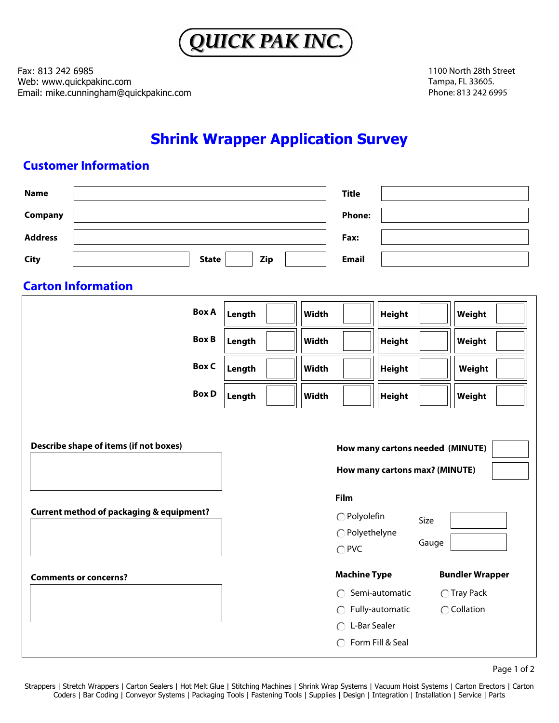

Fax: 813 242 6985 Web: www.quickpakinc.com Email: mike.cunningham@quickpakinc.com 1100 North 28th Street Tampa, FL 33605. Phone: 813 242 6995

## **Shrink Wrapper Application Survey**

## **Customer Information**

| <b>Name</b>    |                                                     |              |        |     |       | <b>Title</b>                   |                 |       |                                  |  |
|----------------|-----------------------------------------------------|--------------|--------|-----|-------|--------------------------------|-----------------|-------|----------------------------------|--|
| Company        |                                                     |              |        |     |       | <b>Phone:</b>                  |                 |       |                                  |  |
| <b>Address</b> |                                                     |              |        |     |       | Fax:                           |                 |       |                                  |  |
| <b>City</b>    |                                                     | <b>State</b> |        | Zip |       | <b>Email</b>                   |                 |       |                                  |  |
|                | <b>Carton Information</b>                           |              |        |     |       |                                |                 |       |                                  |  |
|                |                                                     | <b>Box A</b> | Length |     | Width |                                | <b>Height</b>   |       | Weight                           |  |
|                |                                                     | <b>Box B</b> | Length |     | Width |                                | <b>Height</b>   |       | Weight                           |  |
|                |                                                     | <b>Box C</b> | Length |     | Width |                                | <b>Height</b>   |       | Weight                           |  |
|                |                                                     | <b>Box D</b> | Length |     | Width |                                | <b>Height</b>   |       | Weight                           |  |
|                |                                                     |              |        |     |       |                                |                 |       |                                  |  |
|                | Describe shape of items (if not boxes)              |              |        |     |       |                                |                 |       | How many cartons needed (MINUTE) |  |
|                |                                                     |              |        |     |       | How many cartons max? (MINUTE) |                 |       |                                  |  |
|                |                                                     |              |        |     |       | Film                           |                 |       |                                  |  |
|                | <b>Current method of packaging &amp; equipment?</b> |              |        |     |       | ○ Polyolefin                   |                 | Size  |                                  |  |
|                |                                                     |              |        |     |       | ◯ Polyethelyne                 |                 | Gauge |                                  |  |
|                |                                                     |              |        |     |       | $\bigcap$ PVC                  |                 |       |                                  |  |
|                | <b>Comments or concerns?</b>                        |              |        |     |       | <b>Machine Type</b>            |                 |       | <b>Bundler Wrapper</b>           |  |
|                |                                                     |              |        |     |       | $\bigcap$                      | Semi-automatic  |       | ◯ Tray Pack                      |  |
|                |                                                     |              |        |     |       | $\bigcirc$                     | Fully-automatic |       | ◯ Collation                      |  |
|                |                                                     |              |        |     |       | L-Bar Sealer<br>∩              |                 |       |                                  |  |
|                |                                                     |              |        |     |       | ◯ Form Fill & Seal             |                 |       |                                  |  |

Page 1 of 2